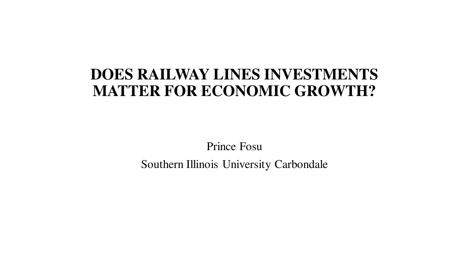## **DOES RAILWAY LINES INVESTMENTS MATTER FOR ECONOMIC GROWTH?**

Prince Fosu Southern Illinois University Carbondale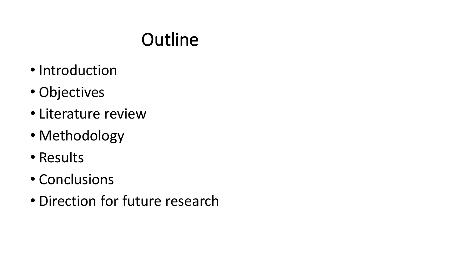## **Outline**

- Introduction
- Objectives
- Literature review
- Methodology
- Results
- Conclusions
- Direction for future research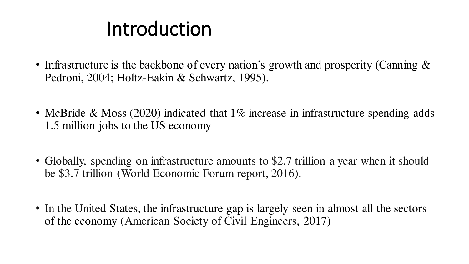# Introduction

- Infrastructure is the backbone of every nation's growth and prosperity (Canning  $\&$ Pedroni, 2004; Holtz-Eakin & Schwartz, 1995).
- McBride & Moss (2020) indicated that 1\% increase in infrastructure spending adds 1.5 million jobs to the US economy
- Globally, spending on infrastructure amounts to \$2.7 trillion a year when it should be \$3.7 trillion (World Economic Forum report, 2016).
- In the United States, the infrastructure gap is largely seen in almost all the sectors of the economy (American Society of Civil Engineers, 2017)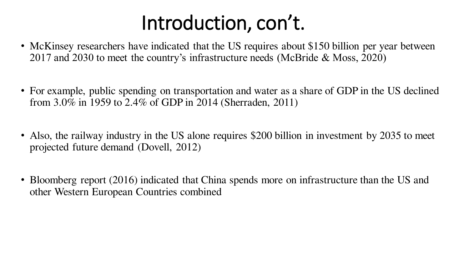# Introduction, con't.

- McKinsey researchers have indicated that the US requires about \$150 billion per year between 2017 and 2030 to meet the country's infrastructure needs (McBride & Moss, 2020)
- For example, public spending on transportation and water as a share of GDP in the US declined from 3.0% in 1959 to 2.4% of GDP in 2014 (Sherraden, 2011)
- Also, the railway industry in the US alone requires \$200 billion in investment by 2035 to meet projected future demand (Dovell, 2012)
- Bloomberg report (2016) indicated that China spends more on infrastructure than the US and other Western European Countries combined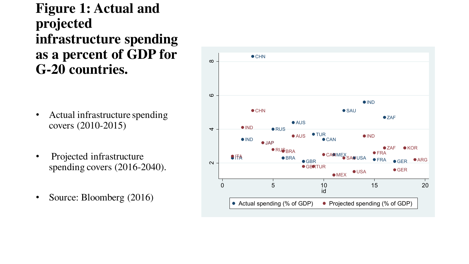### **Figure 1: Actual and projected infrastructure spending as a percent of GDP for G-20 countries.**

- Actual infrastructure spending covers (2010-2015)
- Projected infrastructure spending covers (2016-2040).
- Source: Bloomberg (2016)

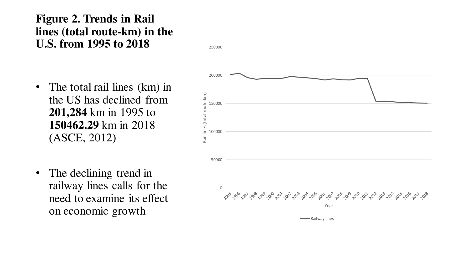### **Figure 2. Trends in Rail lines (total route-km) in the U.S. from 1995 to 2018**

- The total rail lines (km) in the US has declined from **201,284** km in 1995 to **150462.29** km in 2018 (ASCE, 2012)
- The declining trend in railway lines calls for the need to examine its effect on economic growth

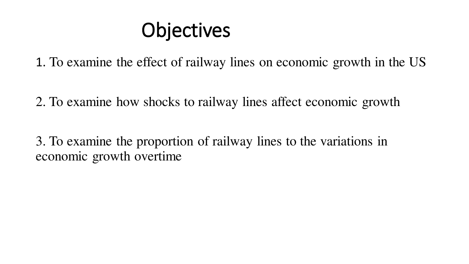# **Objectives**

1. To examine the effect of railway lines on economic growth in the US

2. To examine how shocks to railway lines affect economic growth

3. To examine the proportion of railway lines to the variations in economic growth overtime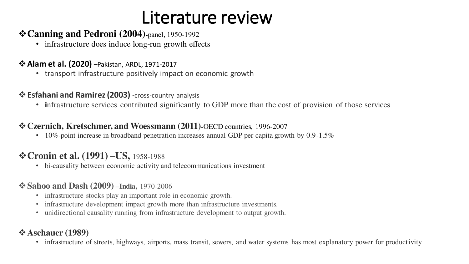## Literature review

#### **Canning and Pedroni (2004)-**panel, 1950-1992

• infrastructure does induce long-run growth effects

#### **Alam et al. (2020) –**Pakistan, ARDL, 1971-2017

• transport infrastructure positively impact on economic growth

#### **Esfahani and Ramirez (2003) -**cross-country analysis

• **infrastructure services contributed significantly to GDP** more than the cost of provision of those services

#### **Czernich, Kretschmer, and Woessmann (2011)-**OECD countries, 1996-2007

• 10%-point increase in broadband penetration increases annual GDP per capita growth by  $0.9-1.5\%$ 

#### **Cronin et al. (1991) –US,** 1958-1988

• bi-causality between economic activity and telecommunications investment

#### **Sahoo and Dash (2009) –India,** 1970-2006

- infrastructure stocks play an important role in economic growth.
- infrastructure development impact growth more than infrastructure investments.
- unidirectional causality running from infrastructure development to output growth.

#### **Aschauer (1989)**

• infrastructure of streets, highways, airports, mass transit, sewers, and water systems has most explanatory power for productivity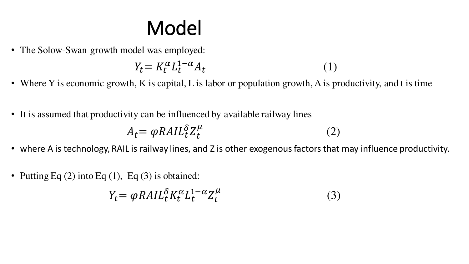# Model

• The Solow-Swan growth model was employed:

$$
Y_t = K_t^{\alpha} L_t^{1-\alpha} A_t \tag{1}
$$

- Where Y is economic growth, K is capital, L is labor or population growth, A is productivity, and t is time
- It is assumed that productivity can be influenced by available railway lines

$$
A_t = \varphi R A I L_t^{\delta} Z_t^{\mu} \tag{2}
$$

- where A is technology, RAIL is railway lines, and Z is other exogenous factors that may influence productivity.
- Putting Eq  $(2)$  into Eq  $(1)$ , Eq  $(3)$  is obtained:

$$
Y_t = \varphi R A I L_t^{\delta} K_t^{\alpha} L_t^{1-\alpha} Z_t^{\mu}
$$
 (3)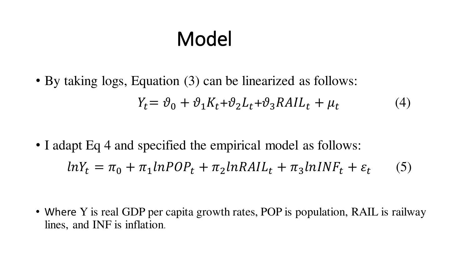# Model

• By taking logs, Equation (3) can be linearized as follows:  $Y_t = \vartheta_0 + \vartheta_1 K_t + \vartheta_2 L_t + \vartheta_3 R A I L_t + \mu_t$ 

• I adapt Eq 4 and specified the empirical model as follows:  $lnY_t = \pi_0 + \pi_1 lnPOP_t + \pi_2 lnRAL_t + \pi_3 lnINF_t + \varepsilon_t$ (5)

(4)

• Where Y is real GDP per capita growth rates, POP is population, RAIL is railway lines, and INF is inflation.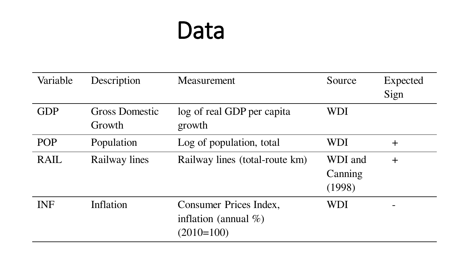# Data

| Variable    | Description                     | Measurement                                                        | Source                       | Expected<br>Sign |
|-------------|---------------------------------|--------------------------------------------------------------------|------------------------------|------------------|
| <b>GDP</b>  | <b>Gross Domestic</b><br>Growth | log of real GDP per capita<br>growth                               | <b>WDI</b>                   |                  |
| <b>POP</b>  | Population                      | Log of population, total                                           | <b>WDI</b>                   | $\pm$            |
| <b>RAIL</b> | Railway lines                   | Railway lines (total-route km)                                     | WDI and<br>Canning<br>(1998) | $+$              |
| <b>INF</b>  | Inflation                       | Consumer Prices Index,<br>inflation (annual $\%$ )<br>$(2010=100)$ | WDI                          |                  |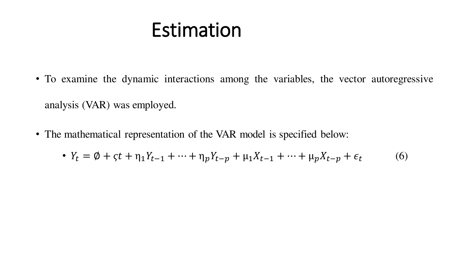# Estimation

- To examine the dynamic interactions among the variables, the vector autoregressive analysis (VAR) was employed.
- The mathematical representation of the VAR model is specified below:

• 
$$
Y_t = \emptyset + \zeta t + \eta_1 Y_{t-1} + \dots + \eta_p Y_{t-p} + \mu_1 X_{t-1} + \dots + \mu_p X_{t-p} + \epsilon_t
$$
 (6)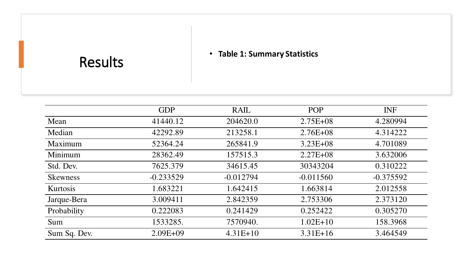#### • **Table 1: Summary Statistics**

|                 | <b>GDP</b>   | <b>RAIL</b> | POP          | <b>INF</b>  |
|-----------------|--------------|-------------|--------------|-------------|
| Mean            | 41440.12     | 204620.0    | $2.75E + 08$ | 4.280994    |
| Median          | 42292.89     | 213258.1    | $2.76E + 08$ | 4.314222    |
| Maximum         | 52364.24     | 265841.9    | $3.23E + 08$ | 4.701089    |
| Minimum         | 28362.49     | 157515.3    | $2.27E + 08$ | 3.632006    |
| Std. Dev.       | 7625.379     | 34615.45    | 30343204     | 0.310222    |
| <b>Skewness</b> | $-0.233529$  | $-0.012794$ | $-0.011560$  | $-0.375592$ |
| Kurtosis        | 1.683221     | 1.642415    | 1.663814     | 2.012558    |
| Jarque-Bera     | 3.009411     | 2.842359    | 2.753306     | 2.373120    |
| Probability     | 0.222083     | 0.241429    | 0.252422     | 0.305270    |
| Sum             | 1533285.     | 7570940.    | $1.02E+10$   | 158.3968    |
| Sum Sq. Dev.    | $2.09E + 09$ | $4.31E+10$  | $3.31E+16$   | 3.464549    |

Results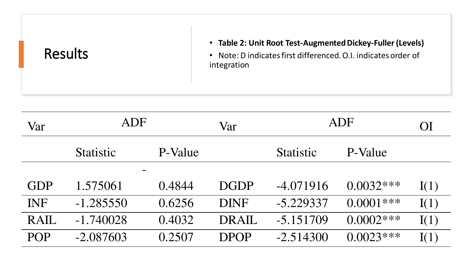| <b>Results</b> | • Table 2: Unit Root Test-Augmented Dickey-Fuller (Levels)<br>Note: D indicates first differenced. O.I. indicates order of<br>integration |
|----------------|-------------------------------------------------------------------------------------------------------------------------------------------|
|----------------|-------------------------------------------------------------------------------------------------------------------------------------------|

| Var         | <b>ADF</b>       |         | Var         |                  | ADF          | OI   |
|-------------|------------------|---------|-------------|------------------|--------------|------|
|             | <b>Statistic</b> | P-Value |             | <b>Statistic</b> | P-Value      |      |
|             |                  |         |             |                  |              |      |
| <b>GDP</b>  | 1.575061         | 0.4844  | <b>DGDP</b> | $-4.071916$      | $0.0032***$  | I(1) |
| <b>INF</b>  | $-1.285550$      | 0.6256  | <b>DINF</b> | $-5.229337$      | $0.0001$ *** | I(1) |
| <b>RAIL</b> | $-1.740028$      | 0.4032  | DRAIL       | $-5.151709$      | $0.0002***$  | I(1) |
| <b>POP</b>  | $-2.087603$      | 0.2507  | <b>DPOP</b> | $-2.514300$      | $0.0023***$  | I(1) |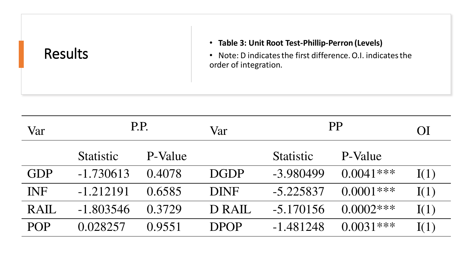| <b>Results</b> | • Table 3: Unit Root Test-Phillip-Perron (Levels)<br>• Note: D indicates the first difference. O.I. indicates the<br>order of integration. |
|----------------|--------------------------------------------------------------------------------------------------------------------------------------------|
|----------------|--------------------------------------------------------------------------------------------------------------------------------------------|

| Var         | P.P.             |         | Var         |                  | PP          | OI   |
|-------------|------------------|---------|-------------|------------------|-------------|------|
|             | <b>Statistic</b> | P-Value |             | <b>Statistic</b> | P-Value     |      |
| <b>GDP</b>  | $-1.730613$      | 0.4078  | <b>DGDP</b> | $-3.980499$      | $0.0041***$ | I(1) |
| <b>INF</b>  | $-1.212191$      | 0.6585  | <b>DINF</b> | $-5.225837$      | $0.0001***$ | I(1) |
| <b>RAIL</b> | $-1.803546$      | 0.3729  | D RAIL      | $-5.170156$      | $0.0002***$ | I(1) |
| <b>POP</b>  | 0.028257         | 0.9551  | <b>DPOP</b> | $-1.481248$      | $0.0031***$ | I(1) |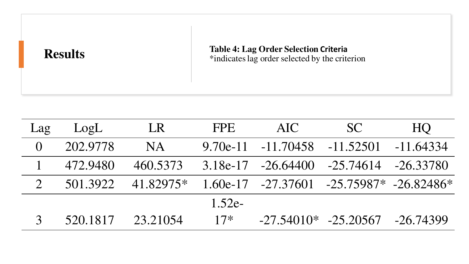| <b>Results</b> | <b>Table 4: Lag Order Selection Criteria</b><br>*indicates lag order selected by the criterion |
|----------------|------------------------------------------------------------------------------------------------|
|                |                                                                                                |

| Lag            | LogL     | LR        | <b>FPE</b> | AIC                   | <b>SC</b>                                        | HQ          |
|----------------|----------|-----------|------------|-----------------------|--------------------------------------------------|-------------|
|                | 202,9778 | <b>NA</b> |            | $9.70e-11 - 11.70458$ | $-11,52501$                                      | $-11.64334$ |
|                | 472.9480 | 460.5373  |            |                       | 3.18e-17 -26.64400 -25.74614 -26.33780           |             |
| $\overline{2}$ | 501.3922 | 41.82975* |            |                       | $1.60e-17$ $-27.37601$ $-25.75987*$ $-26.82486*$ |             |
|                |          |           | $1.52e-$   |                       |                                                  |             |
|                | 520.1817 | 23.21054  | $17*$      |                       | $-27.54010* -25.20567 -26.74399$                 |             |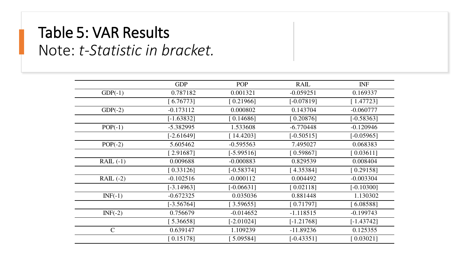## Table 5: VAR Results Note: *t-Statistic in bracket.*

|              | <b>GDP</b>   | POP          | <b>RAIL</b>  | <b>INF</b>   |
|--------------|--------------|--------------|--------------|--------------|
| $GDP(-1)$    | 0.787182     | 0.001321     | $-0.059251$  | 0.169337     |
|              | [6.76773]    | [0.21966]    | $[-0.07819]$ | [1.47723]    |
| $GDP(-2)$    | $-0.173112$  | 0.000802     | 0.143704     | $-0.060777$  |
|              | $[-1.63832]$ | [0.14686]    | [0.20876]    | $[-0.58363]$ |
| $POP(-1)$    | $-5.382995$  | 1.533608     | $-6.770448$  | $-0.120946$  |
|              | $[-2.61649]$ | [14.4203]    | $[-0.50515]$ | $[-0.05965]$ |
| $POP(-2)$    | 5.605462     | $-0.595563$  | 7.495027     | 0.068383     |
|              | [2.91687]    | $[-5.99516]$ | [0.59867]    | [0.03611]    |
| $RAIL(-1)$   | 0.009688     | $-0.000883$  | 0.829539     | 0.008404     |
|              | [0.33126]    | $[-0.58374]$ | [4.35384]    | [0.29158]    |
| $RAL$ $(-2)$ | $-0.102516$  | $-0.000112$  | 0.004492     | $-0.003304$  |
|              | $[-3.14963]$ | $[-0.06631]$ | [0.02118]    | $[-0.10300]$ |
| $INF(-1)$    | $-0.672325$  | 0.035036     | 0.881448     | 1.130302     |
|              | $[-3.56764]$ | [3.59655]    | [0.71797]    | $6.08588$ ]  |
| $INF(-2)$    | 0.756679     | $-0.014652$  | $-1.118515$  | $-0.199743$  |
|              | 5.36658      | $[-2.01024]$ | $[-1.21768]$ | $[-1.43742]$ |
| $\mathsf{C}$ | 0.639147     | 1.109239     | $-11.89236$  | 0.125355     |
|              | [0.15178]    | $5.09584$ ]  | $[-0.43351]$ | [0.03021]    |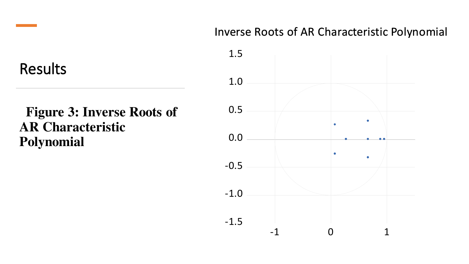### Inverse Roots of AR Characteristic Polynomial

Results

### **Figure 3: Inverse Roots of AR Characteristic Polynomial**

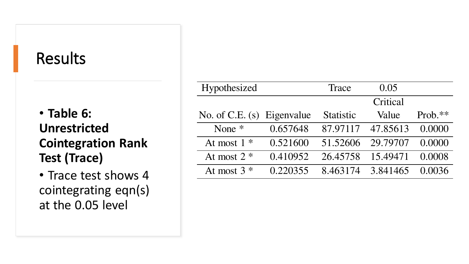## Results

### • **Table 6: Unrestricted Cointegration Rank Test (Trace)**

• Trace test shows 4 cointegrating eqn(s) at the 0.05 level

| Hypothesized               |          | Trace            | 0.05     |           |
|----------------------------|----------|------------------|----------|-----------|
|                            |          |                  | Critical |           |
| No. of C.E. (s) Eigenvalue |          | <b>Statistic</b> | Value    | $Prob.**$ |
| None $*$                   | 0.657648 | 87.97117         | 47.85613 | 0.0000    |
| At most $1 *$              | 0.521600 | 51.52606         | 29.79707 | 0.0000    |
| At most $2 *$              | 0.410952 | 26.45758         | 15.49471 | 0.0008    |
| At most $3*$               | 0.220355 | 8.463174         | 3.841465 | 0.0036    |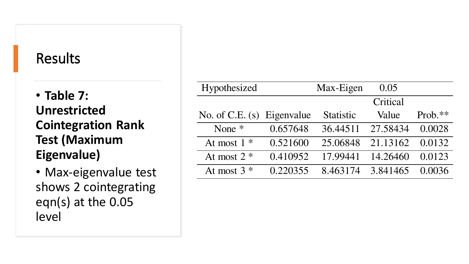### Results

• **Table 7: Unrestricted Cointegration Rank Test (Maximum Eigenvalue)**

• Max-eigenvalue test shows 2 cointegrating eqn(s) at the 0.05 level

| Hypothesized               |          | Max-Eigen        | 0.05     |           |
|----------------------------|----------|------------------|----------|-----------|
|                            |          |                  | Critical |           |
| No. of C.E. (s) Eigenvalue |          | <b>Statistic</b> | Value    | $Prob.**$ |
| None $*$                   | 0.657648 | 36.44511         | 27.58434 | 0.0028    |
| At most $1 *$              | 0.521600 | 25.06848         | 21.13162 | 0.0132    |
| At most $2 *$              | 0.410952 | 17.99441         | 14.26460 | 0.0123    |
| At most $3$ *              | 0.220355 | 8.463174         | 3.841465 | 0.0036    |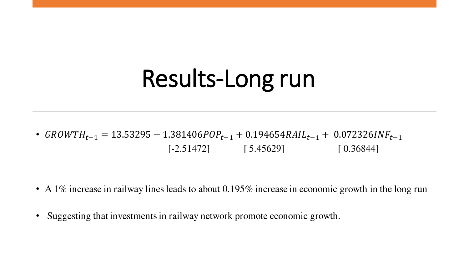# Results-Long run

•  $GROWTH_{t-1} = 13.53295 - 1.381406POP_{t-1} + 0.194654RAL_{t-1} + 0.072326INF_{t-1}$  $[-2.51472]$  [ 5.45629] [ 0.36844]

- A 1% increase in railway lines leads to about 0.195% increase in economic growth in the long run
- Suggesting that investments in railway network promote economic growth.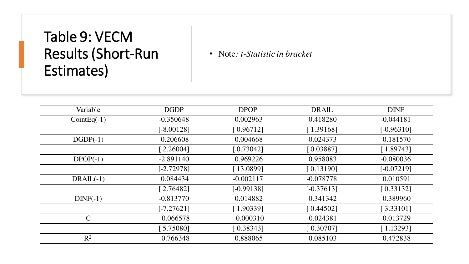## Table 9: VECM Results (Short-Run Estimates)

• Note*: t-Statistic in bracket*

| Variable      | <b>DGDP</b>  | <b>DPOP</b>  | <b>DRAIL</b> | <b>DINF</b>  |
|---------------|--------------|--------------|--------------|--------------|
| $CointEq(-1)$ | $-0.350648$  | 0.002963     | 0.418280     | $-0.044181$  |
|               | $[-8.00128]$ | [0.96712]    | [1.39168]    | $[-0.96310]$ |
| $DGDP(-1)$    | 0.206608     | 0.004668     | 0.024373     | 0.181570     |
|               | [2.26004]    | [0.73042]    | [0.03887]    | [1.89743]    |
| $DPOP(-1)$    | $-2.891140$  | 0.969226     | 0.958083     | $-0.080036$  |
|               | $[-2.72978]$ | [13.0899]    | [0.13190]    | $[-0.07219]$ |
| $DRAIL(-1)$   | 0.084434     | $-0.002117$  | $-0.078778$  | 0.010591     |
|               | [2.76482]    | $[-0.99138]$ | $[-0.37613]$ | [0.33132]    |
| $DINF(-1)$    | $-0.813770$  | 0.014882     | 0.341342     | 0.389960     |
|               | $[-7.27621]$ | [1.90339]    | [0.44502]    | [3.33101]    |
| $\mathcal{C}$ | 0.066578     | $-0.000310$  | $-0.024381$  | 0.013729     |
|               | $5.75080$ ]  | $[-0.38343]$ | $[-0.30707]$ | [1.13293]    |
| $R^2$         | 0.766348     | 0.888065     | 0.085103     | 0.472838     |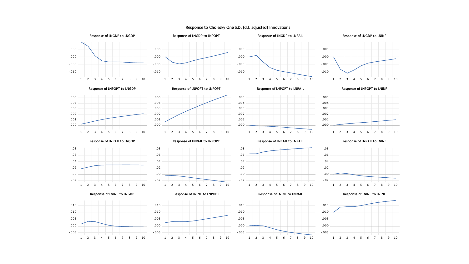Response to Cholesky One S.D. (d.f. adjusted) Innovations

.000 .001 .002 .003 .004 .005





Response of LNGDP to LNPOPT





Response of LNGDP to LNINF

Response of LNPOPT to LNGDP











Response of LNRAIL to LNGDP



Response of LNINF to LNGDP

-.005 .000 .005 .010 .015

Response of LNRAIL to LNPOPT













1 2 3 4 5 6 7 8 9 10









1 2 3 4 5 6 7 8 9 10

.000 .001 .002 .003 .004 .005

.08



Response of LNINF to LNINF

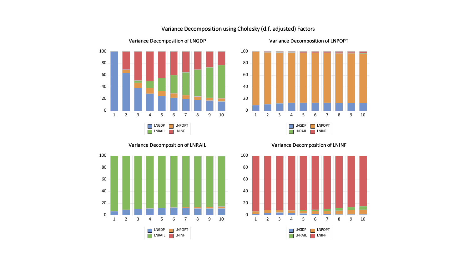

#### Variance Decomposition using Cholesky (d.f. adjusted) Factors



Variance Decomposition of LNRAIL



Variance Decomposition of LNINF

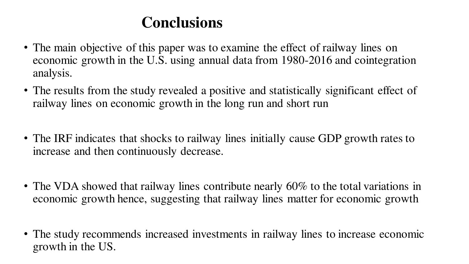## **Conclusions**

- The main objective of this paper was to examine the effect of railway lines on economic growth in the U.S. using annual data from 1980-2016 and cointegration analysis.
- The results from the study revealed a positive and statistically significant effect of railway lines on economic growth in the long run and short run
- The IRF indicates that shocks to railway lines initially cause GDP growth rates to increase and then continuously decrease.
- The VDA showed that railway lines contribute nearly 60% to the total variations in economic growth hence, suggesting that railway lines matter for economic growth
- The study recommends increased investments in railway lines to increase economic growth in the US.